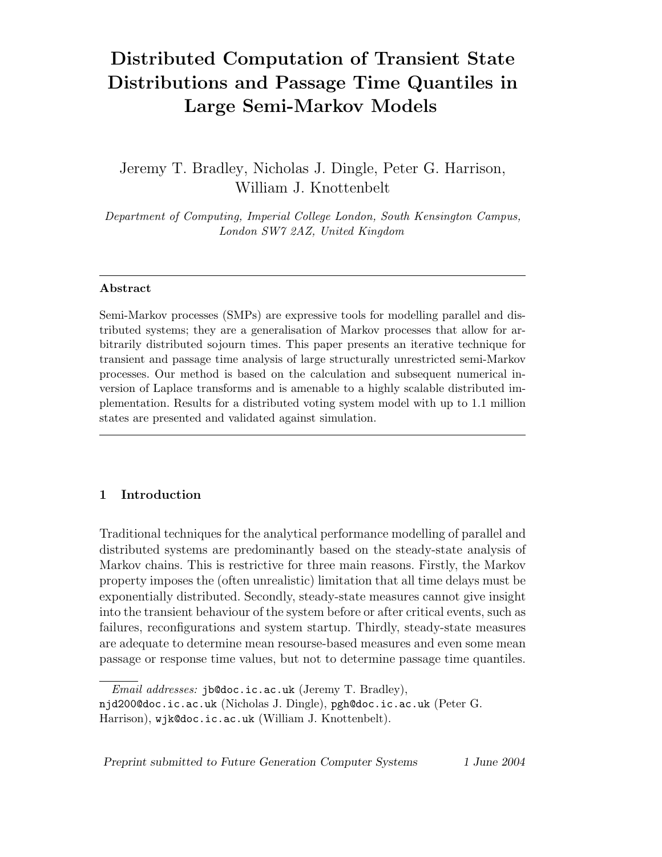# **Distributed Computation of Transient State Distributions and Passage Time Quantiles in Large Semi-Markov Models**

Jeremy T. Bradley, Nicholas J. Dingle, Peter G. Harrison, William J. Knottenbelt

*Department of Computing, Imperial College London, South Kensington Campus, London SW7 2AZ, United Kingdom*

#### **Abstract**

Semi-Markov processes (SMPs) are expressive tools for modelling parallel and distributed systems; they are a generalisation of Markov processes that allow for arbitrarily distributed sojourn times. This paper presents an iterative technique for transient and passage time analysis of large structurally unrestricted semi-Markov processes. Our method is based on the calculation and subsequent numerical inversion of Laplace transforms and is amenable to a highly scalable distributed implementation. Results for a distributed voting system model with up to 1.1 million states are presented and validated against simulation.

## **1 Introduction**

Traditional techniques for the analytical performance modelling of parallel and distributed systems are predominantly based on the steady-state analysis of Markov chains. This is restrictive for three main reasons. Firstly, the Markov property imposes the (often unrealistic) limitation that all time delays must be exponentially distributed. Secondly, steady-state measures cannot give insight into the transient behaviour of the system before or after critical events, such as failures, reconfigurations and system startup. Thirdly, steady-state measures are adequate to determine mean resourse-based measures and even some mean passage or response time values, but not to determine passage time quantiles.

*Preprint submitted to Future Generation Computer Systems 1 June 2004*

*Email addresses:* jb@doc.ic.ac.uk (Jeremy T. Bradley),

njd200@doc.ic.ac.uk (Nicholas J. Dingle), pgh@doc.ic.ac.uk (Peter G. Harrison), wjk@doc.ic.ac.uk (William J. Knottenbelt).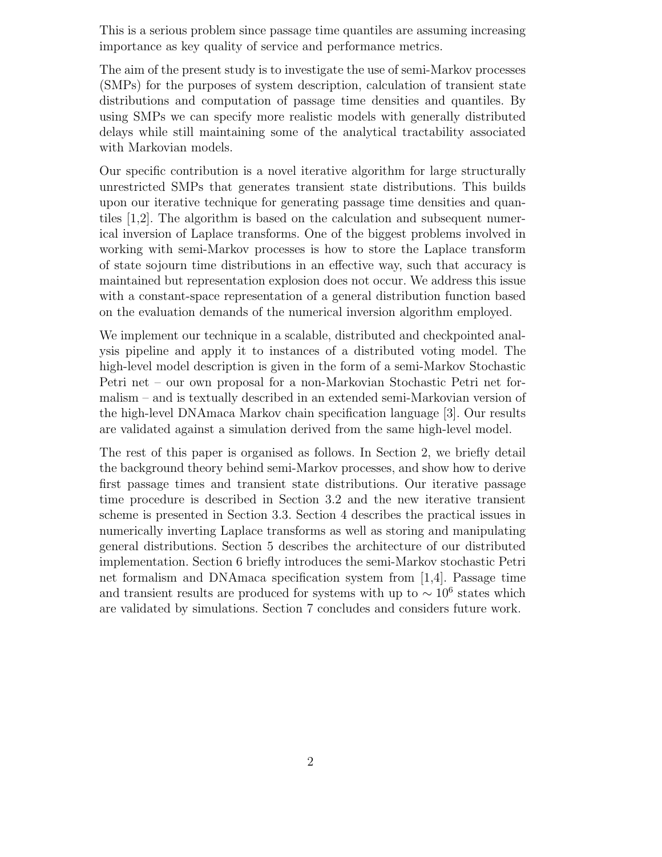This is a serious problem since passage time quantiles are assuming increasing importance as key quality of service and performance metrics.

The aim of the present study is to investigate the use of semi-Markov processes (SMPs) for the purposes of system description, calculation of transient state distributions and computation of passage time densities and quantiles. By using SMPs we can specify more realistic models with generally distributed delays while still maintaining some of the analytical tractability associated with Markovian models.

Our specific contribution is a novel iterative algorithm for large structurally unrestricted SMPs that generates transient state distributions. This builds upon our iterative technique for generating passage time densities and quantiles [1,2]. The algorithm is based on the calculation and subsequent numerical inversion of Laplace transforms. One of the biggest problems involved in working with semi-Markov processes is how to store the Laplace transform of state sojourn time distributions in an effective way, such that accuracy is maintained but representation explosion does not occur. We address this issue with a constant-space representation of a general distribution function based on the evaluation demands of the numerical inversion algorithm employed.

We implement our technique in a scalable, distributed and checkpointed analysis pipeline and apply it to instances of a distributed voting model. The high-level model description is given in the form of a semi-Markov Stochastic Petri net – our own proposal for a non-Markovian Stochastic Petri net formalism – and is textually described in an extended semi-Markovian version of the high-level DNAmaca Markov chain specification language [3]. Our results are validated against a simulation derived from the same high-level model.

The rest of this paper is organised as follows. In Section 2, we briefly detail the background theory behind semi-Markov processes, and show how to derive first passage times and transient state distributions. Our iterative passage time procedure is described in Section 3.2 and the new iterative transient scheme is presented in Section 3.3. Section 4 describes the practical issues in numerically inverting Laplace transforms as well as storing and manipulating general distributions. Section 5 describes the architecture of our distributed implementation. Section 6 briefly introduces the semi-Markov stochastic Petri net formalism and DNAmaca specification system from [1,4]. Passage time and transient results are produced for systems with up to  $\sim 10^6$  states which are validated by simulations. Section 7 concludes and considers future work.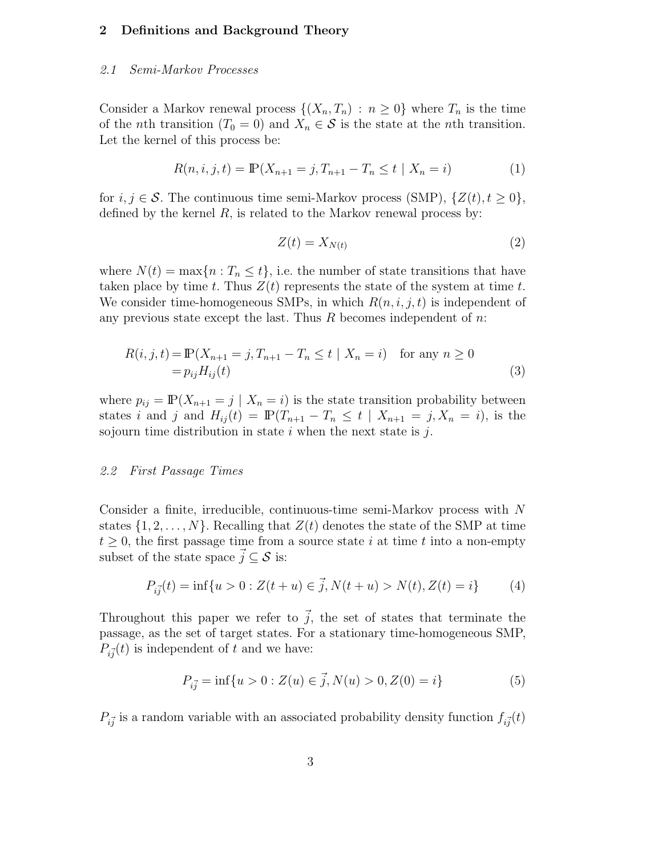## **2 Definitions and Background Theory**

#### *2.1 Semi-Markov Processes*

Consider a Markov renewal process  $\{(X_n,T_n) : n \geq 0\}$  where  $T_n$  is the time of the *n*th transition  $(T_0 = 0)$  and  $X_n \in \mathcal{S}$  is the state at the *n*th transition. Let the kernel of this process be:

$$
R(n, i, j, t) = \mathbb{P}(X_{n+1} = j, T_{n+1} - T_n \le t \mid X_n = i)
$$
\n(1)

for  $i, j \in \mathcal{S}$ . The continuous time semi-Markov process (SMP),  $\{Z(t), t \geq 0\}$ , defined by the kernel  $R$ , is related to the Markov renewal process by:

$$
Z(t) = X_{N(t)}\tag{2}
$$

where  $N(t) = \max\{n : T_n \leq t\}$ , i.e. the number of state transitions that have taken place by time t. Thus  $Z(t)$  represents the state of the system at time t. We consider time-homogeneous SMPs, in which  $R(n, i, j, t)$  is independent of any previous state except the last. Thus  $R$  becomes independent of  $n$ .

$$
R(i, j, t) = \mathbb{P}(X_{n+1} = j, T_{n+1} - T_n \le t \mid X_n = i) \text{ for any } n \ge 0
$$
  
=  $p_{ij} H_{ij}(t)$  (3)

where  $p_{ij} = \mathbb{P}(X_{n+1} = j \mid X_n = i)$  is the state transition probability between states i and j and  $H_{ij}(t) = \mathbb{P}(T_{n+1} - T_n \leq t \mid X_{n+1} = j, X_n = i)$ , is the sojourn time distribution in state  $i$  when the next state is  $j$ .

#### *2.2 First Passage Times*

Consider a finite, irreducible, continuous-time semi-Markov process with  $N$ states  $\{1, 2, \ldots, N\}$ . Recalling that  $Z(t)$  denotes the state of the SMP at time  $t \geq 0$ , the first passage time from a source state i at time t into a non-empty subset of the state space  $\vec{j} \subseteq \mathcal{S}$  is:

$$
P_{i\vec{j}}(t) = \inf\{u > 0 : Z(t+u) \in \vec{j}, N(t+u) > N(t), Z(t) = i\} \tag{4}
$$

Throughout this paper we refer to  $\vec{j}$ , the set of states that terminate the passage, as the set of target states. For a stationary time-homogeneous SMP,  $P_{i\vec{j}}(t)$  is independent of t and we have:

$$
P_{i\vec{j}} = \inf\{u > 0 : Z(u) \in \vec{j}, N(u) > 0, Z(0) = i\}
$$
\n(5)

 $P_{i\vec{j}}$  is a random variable with an associated probability density function  $f_{i\vec{j}}(t)$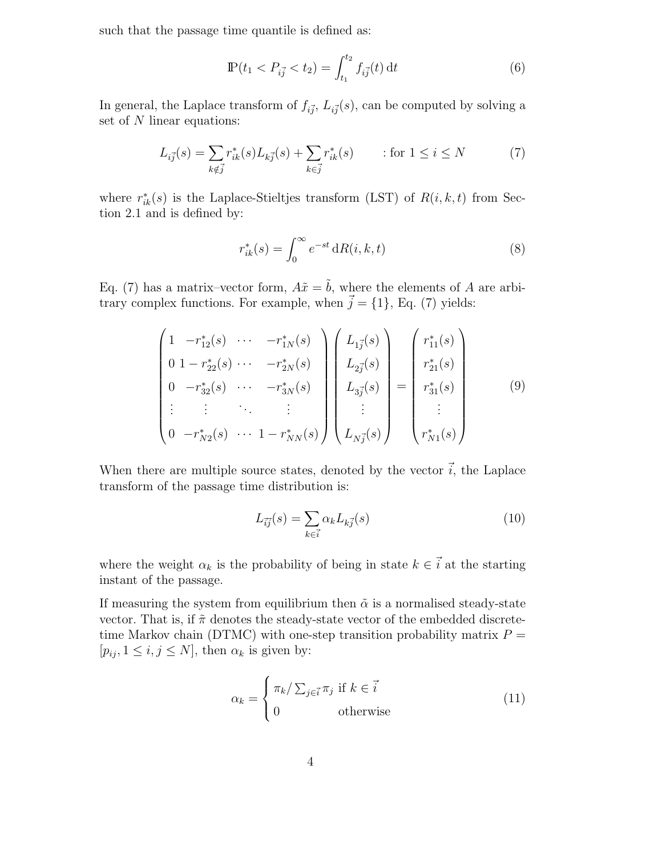such that the passage time quantile is defined as:

$$
\mathbb{P}(t_1 < P_{i\vec{j}} < t_2) = \int_{t_1}^{t_2} f_{i\vec{j}}(t) \, \mathrm{d}t \tag{6}
$$

In general, the Laplace transform of  $f_{i\vec{j}}, L_{i\vec{j}}(s)$ , can be computed by solving a set of N linear equations:

$$
L_{i\vec{j}}(s) = \sum_{k \notin \vec{j}} r_{ik}^*(s) L_{k\vec{j}}(s) + \sum_{k \in \vec{j}} r_{ik}^*(s) \qquad \text{for } 1 \le i \le N \tag{7}
$$

where  $r_{ik}^*(s)$  is the Laplace-Stieltjes transform (LST) of  $R(i, k, t)$  from Section 2.1 and is defined by:

$$
r_{ik}^*(s) = \int_0^\infty e^{-st} \, dR(i, k, t) \tag{8}
$$

Eq. (7) has a matrix–vector form,  $A\tilde{x} = \tilde{b}$ , where the elements of A are arbitrary complex functions. For example, when  $\vec{j} = \{1\}$ , Eq. (7) yields:

$$
\begin{pmatrix}\n1 & -r_{12}^*(s) & \cdots & -r_{1N}^*(s) \\
0 & 1 - r_{22}^*(s) & \cdots & -r_{2N}^*(s) \\
0 & -r_{32}^*(s) & \cdots & -r_{3N}^*(s) \\
\vdots & \vdots & \ddots & \vdots \\
0 & -r_{N2}^*(s) & \cdots & 1 - r_{NN}^*(s)\n\end{pmatrix}\n\begin{pmatrix}\nL_{1\vec{j}}(s) \\
L_{2\vec{j}}(s) \\
L_{3\vec{j}}(s) \\
\vdots \\
L_{N\vec{j}}(s)\n\end{pmatrix} = \begin{pmatrix}\nr_{11}^*(s) \\
r_{21}^*(s) \\
r_{31}^*(s) \\
\vdots \\
r_{N1}^*(s)\n\end{pmatrix}
$$
\n(9)

When there are multiple source states, denoted by the vector  $\vec{i}$ , the Laplace transform of the passage time distribution is:

$$
L_{\vec{i}\vec{j}}(s) = \sum_{k \in \vec{i}} \alpha_k L_{k\vec{j}}(s) \tag{10}
$$

where the weight  $\alpha_k$  is the probability of being in state  $k \in \mathbf{i}$  at the starting instant of the passage.

If measuring the system from equilibrium then  $\tilde{\alpha}$  is a normalised steady-state vector. That is, if  $\tilde{\pi}$  denotes the steady-state vector of the embedded discretetime Markov chain (DTMC) with one-step transition probability matrix  $P =$  $[p_{ij}, 1 \leq i, j \leq N]$ , then  $\alpha_k$  is given by:

$$
\alpha_k = \begin{cases} \pi_k / \sum_{j \in \vec{i}} \pi_j & \text{if } k \in \vec{i} \\ 0 & \text{otherwise} \end{cases}
$$
 (11)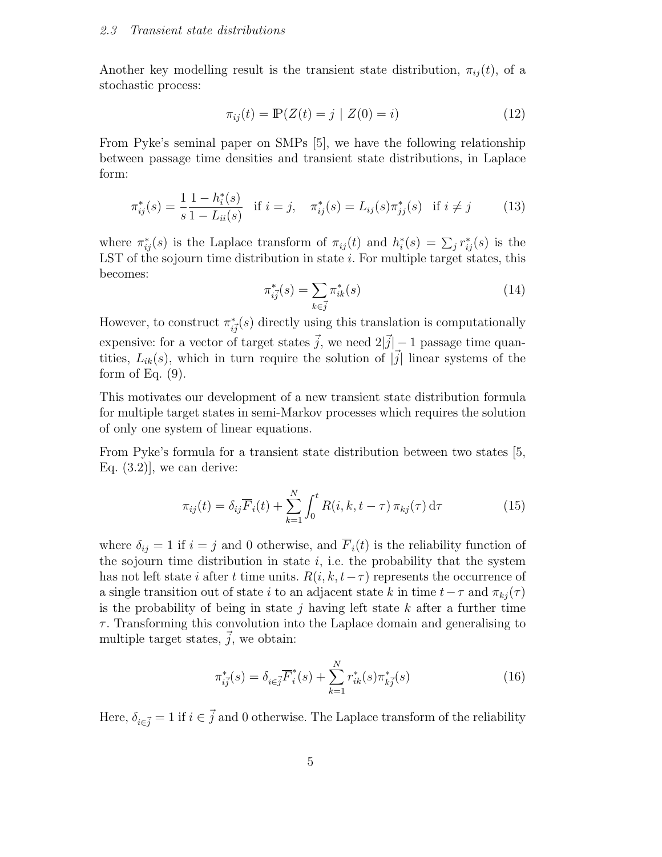Another key modelling result is the transient state distribution,  $\pi_{ii}(t)$ , of a stochastic process:

$$
\pi_{ij}(t) = \mathbb{P}(Z(t) = j \mid Z(0) = i)
$$
\n(12)

From Pyke's seminal paper on SMPs [5], we have the following relationship between passage time densities and transient state distributions, in Laplace form:

$$
\pi_{ij}^*(s) = \frac{1}{s} \frac{1 - h_i^*(s)}{1 - L_{ii}(s)} \quad \text{if } i = j, \quad \pi_{ij}^*(s) = L_{ij}(s) \pi_{jj}^*(s) \quad \text{if } i \neq j \tag{13}
$$

where  $\pi_{ij}^*(s)$  is the Laplace transform of  $\pi_{ij}(t)$  and  $h_i^*(s) = \sum_j r_{ij}^*(s)$  is the LST of the sojourn time distribution in state  $i$ . For multiple target states, this becomes:

$$
\pi_{i\vec{j}}^*(s) = \sum_{k \in \vec{j}} \pi_{ik}^*(s) \tag{14}
$$

However, to construct  $\pi_{i\vec{j}}^*(s)$  directly using this translation is computationally expensive: for a vector of target states  $\vec{j}$ , we need  $2|\vec{j}| - 1$  passage time quantities,  $L_{ik}(s)$ , which in turn require the solution of  $|\vec{j}|$  linear systems of the form of Eq.  $(9)$ .

This motivates our development of a new transient state distribution formula for multiple target states in semi-Markov processes which requires the solution of only one system of linear equations.

From Pyke's formula for a transient state distribution between two states [5, Eq.  $(3.2)$ , we can derive:

$$
\pi_{ij}(t) = \delta_{ij}\overline{F}_i(t) + \sum_{k=1}^N \int_0^t R(i, k, t - \tau) \,\pi_{kj}(\tau) \,\mathrm{d}\tau \tag{15}
$$

where  $\delta_{ij} = 1$  if  $i = j$  and 0 otherwise, and  $\overline{F}_i(t)$  is the reliability function of the sojourn time distribution in state  $i$ , i.e. the probability that the system has not left state *i* after t time units.  $R(i, k, t-\tau)$  represents the occurrence of a single transition out of state i to an adjacent state k in time  $t-\tau$  and  $\pi_{kj}(\tau)$ is the probability of being in state j having left state  $k$  after a further time  $\tau$ . Transforming this convolution into the Laplace domain and generalising to multiple target states,  $\vec{j}$ , we obtain:

$$
\pi_{i\vec{j}}^*(s) = \delta_{i \in \vec{j}} \overline{F}_i^*(s) + \sum_{k=1}^N r_{ik}^*(s) \pi_{k\vec{j}}^*(s)
$$
\n(16)

Here,  $\delta_{i\in\vec{j}}=1$  if  $i\in\vec{j}$  and 0 otherwise. The Laplace transform of the reliability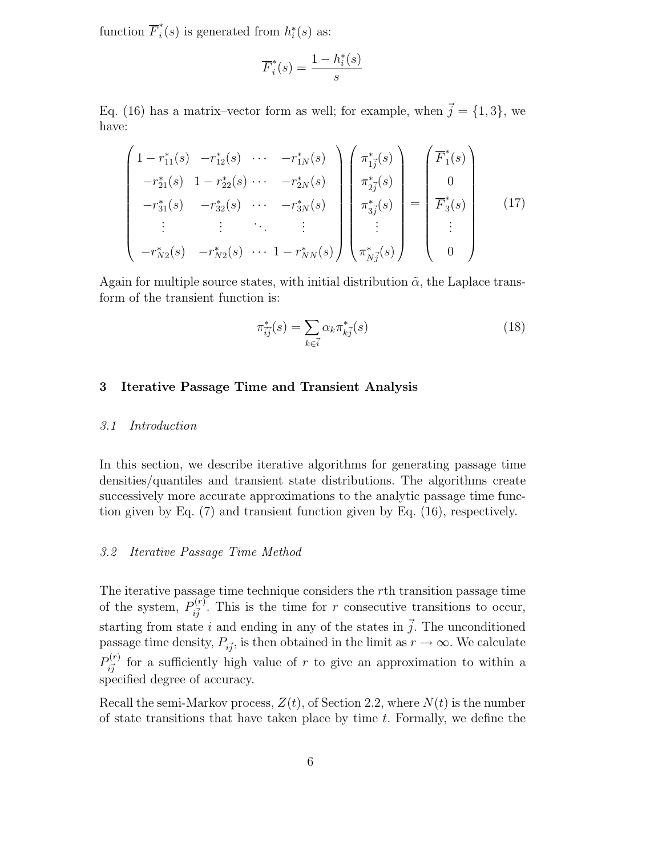function  $\overline{F}_i^*(s)$  is generated from  $h_i^*(s)$  as:

$$
\overline{F}_i^*(s) = \frac{1 - h_i^*(s)}{s}
$$

Eq. (16) has a matrix–vector form as well; for example, when  $\vec{j} = \{1,3\}$ , we have:

$$
\begin{pmatrix}\n1 - r_{11}^*(s) & -r_{12}^*(s) & \cdots & -r_{1N}^*(s) \\
-r_{21}^*(s) & 1 - r_{22}^*(s) & \cdots & -r_{2N}^*(s) \\
-r_{31}^*(s) & -r_{32}^*(s) & \cdots & -r_{3N}^*(s)\n\end{pmatrix}\n\begin{pmatrix}\n\pi_{1j}^*(s) \\
\pi_{2j}^*(s) \\
\pi_{3j}^*(s) \\
\vdots \\
\pi_{Nj}^*(s)\n\end{pmatrix} = \n\begin{pmatrix}\n\overline{F}_1^*(s) \\
0 \\
0 \\
\overline{F}_3^*(s) \\
\vdots \\
0\n\end{pmatrix}
$$
\n(17)

Again for multiple source states, with initial distribution  $\tilde{\alpha}$ , the Laplace transform of the transient function is:

$$
\pi_{\overline{ij}}^*(s) = \sum_{k \in \overline{i}} \alpha_k \pi_{kj}^*(s) \tag{18}
$$

# **3 Iterative Passage Time and Transient Analysis**

### *3.1 Introduction*

In this section, we describe iterative algorithms for generating passage time densities/quantiles and transient state distributions. The algorithms create successively more accurate approximations to the analytic passage time function given by Eq. (7) and transient function given by Eq. (16), respectively.

#### *3.2 Iterative Passage Time Method*

The iterative passage time technique considers the rth transition passage time of the system,  $P_{i\vec{j}}^{(r)}$ . This is the time for r consecutive transitions to occur, starting from state i and ending in any of the states in  $\vec{j}$ . The unconditioned passage time density,  $P_{i\vec{j}}$ , is then obtained in the limit as  $r \to \infty$ . We calculate  $P_{i\vec{j}}^{(r)}$  for a sufficiently high value of r to give an approximation to within a specified degree of accuracy.

Recall the semi-Markov process,  $Z(t)$ , of Section 2.2, where  $N(t)$  is the number of state transitions that have taken place by time  $t$ . Formally, we define the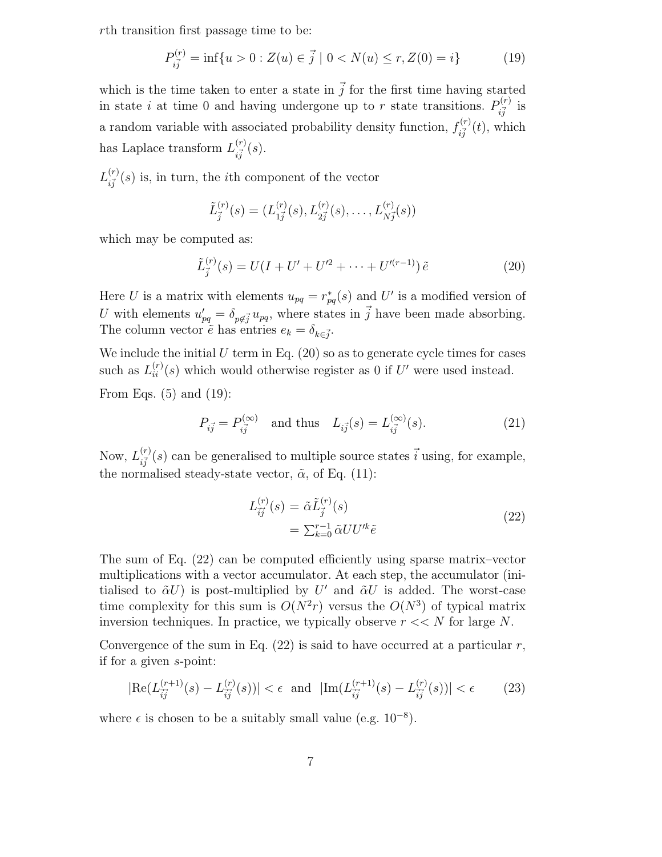rth transition first passage time to be:

$$
P_{i\vec{j}}^{(r)} = \inf\{u > 0 : Z(u) \in \vec{j} \mid 0 < N(u) \le r, Z(0) = i\} \tag{19}
$$

which is the time taken to enter a state in  $\vec{j}$  for the first time having started in state i at time 0 and having undergone up to r state transitions.  $P_{i\vec{j}}^{(r)}$  is a random variable with associated probability density function,  $f_{i\vec{j}}^{(r)}(t)$ , which has Laplace transform  $L_{i\vec{j}}^{(r)}(s)$ .

 $L_{i\vec{j}}^{(r)}(s)$  is, in turn, the *i*th component of the vector

$$
\tilde{L}_{\vec{j}}^{(r)}(s) = (L_{1\vec{j}}^{(r)}(s), L_{2\vec{j}}^{(r)}(s), \dots, L_{N\vec{j}}^{(r)}(s))
$$

which may be computed as:

$$
\tilde{L}_j^{(r)}(s) = U(I + U' + U'^2 + \dots + U'^{(r-1)})\,\tilde{e}
$$
\n(20)

Here U is a matrix with elements  $u_{pq} = r_{pq}^*(s)$  and U' is a modified version of U with elements  $u'_{pq} = \delta_{p \notin \vec{j}} u_{pq}$ , where states in  $\vec{j}$  have been made absorbing. The column vector  $\tilde{e}$  has entries  $e_k = \delta_{k \in \vec{j}}$ .

We include the initial  $U$  term in Eq.  $(20)$  so as to generate cycle times for cases such as  $L_{ii}^{(r)}(s)$  which would otherwise register as 0 if U' were used instead. From Eqs. (5) and (19):

$$
P_{i\vec{j}} = P_{i\vec{j}}^{(\infty)} \text{ and thus } L_{i\vec{j}}(s) = L_{i\vec{j}}^{(\infty)}(s). \tag{21}
$$

Now,  $L_{i\vec{j}}^{(r)}(s)$  can be generalised to multiple source states  $\vec{i}$  using, for example, the normalised steady-state vector,  $\tilde{\alpha}$ , of Eq. (11):

$$
L_{\tilde{i}\tilde{j}}^{(r)}(s) = \tilde{\alpha} \tilde{L}_{\tilde{j}}^{(r)}(s)
$$
  
= 
$$
\sum_{k=0}^{r-1} \tilde{\alpha} U U'^k \tilde{e}
$$
 (22)

The sum of Eq. (22) can be computed efficiently using sparse matrix–vector multiplications with a vector accumulator. At each step, the accumulator (initialised to  $\tilde{\alpha}U$ ) is post-multiplied by U' and  $\tilde{\alpha}U$  is added. The worst-case time complexity for this sum is  $O(N^2r)$  versus the  $O(N^3)$  of typical matrix inversion techniques. In practice, we typically observe  $r \ll N$  for large N.

Convergence of the sum in Eq.  $(22)$  is said to have occurred at a particular r, if for a given s-point:

$$
|\text{Re}(L_{\vec{i}\vec{j}}^{(r+1)}(s) - L_{\vec{i}\vec{j}}^{(r)}(s))| < \epsilon \quad \text{and} \quad |\text{Im}(L_{\vec{i}\vec{j}}^{(r+1)}(s) - L_{\vec{i}\vec{j}}^{(r)}(s))| < \epsilon \tag{23}
$$

where  $\epsilon$  is chosen to be a suitably small value (e.g. 10<sup>-8</sup>).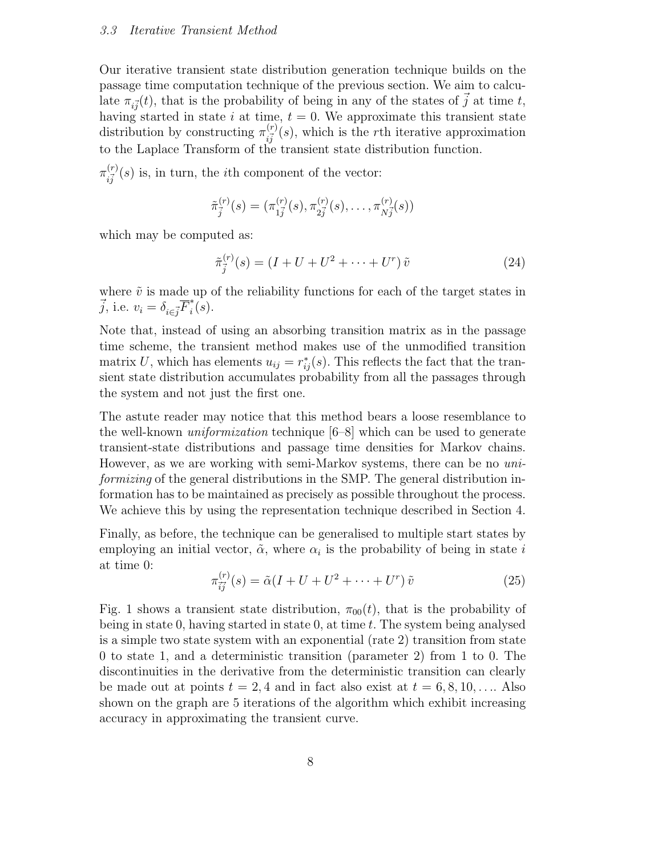#### *3.3 Iterative Transient Method*

Our iterative transient state distribution generation technique builds on the passage time computation technique of the previous section. We aim to calculate  $\pi_{i\vec{j}}(t)$ , that is the probability of being in any of the states of  $\vec{j}$  at time t, having started in state i at time,  $t = 0$ . We approximate this transient state distribution by constructing  $\pi_{i\vec{j}}^{(r)}(s)$ , which is the rth iterative approximation to the Laplace Transform of the transient state distribution function.

 $\pi^{(r)}_{i\vec{j}}(s)$  is, in turn, the *i*<sup>th</sup> component of the vector:

$$
\tilde{\pi}_{\vec{j}}^{(r)}(s) = (\pi_{1\vec{j}}^{(r)}(s), \pi_{2\vec{j}}^{(r)}(s), \ldots, \pi_{N\vec{j}}^{(r)}(s))
$$

which may be computed as:

$$
\tilde{\pi}_{\tilde{j}}^{(r)}(s) = (I + U + U^2 + \dots + U^r) \tilde{v}
$$
\n(24)

where  $\tilde{v}$  is made up of the reliability functions for each of the target states in  $\vec{j}$ , i.e.  $v_i = \delta_{i \in \vec{j}} \overline{F}_i^*(s)$ .

Note that, instead of using an absorbing transition matrix as in the passage time scheme, the transient method makes use of the unmodified transition matrix U, which has elements  $u_{ij} = r_{ij}^*(s)$ . This reflects the fact that the transient state distribution accumulates probability from all the passages through the system and not just the first one.

The astute reader may notice that this method bears a loose resemblance to the well-known *uniformization* technique [6–8] which can be used to generate transient-state distributions and passage time densities for Markov chains. However, as we are working with semi-Markov systems, there can be no *uniformizing* of the general distributions in the SMP. The general distribution information has to be maintained as precisely as possible throughout the process. We achieve this by using the representation technique described in Section 4.

Finally, as before, the technique can be generalised to multiple start states by employing an initial vector,  $\tilde{\alpha}$ , where  $\alpha_i$  is the probability of being in state i at time 0:

$$
\pi_{\overrightarrow{ij}}^{(r)}(s) = \tilde{\alpha}(I + U + U^2 + \dots + U^r) \tilde{v}
$$
\n(25)

Fig. 1 shows a transient state distribution,  $\pi_{00}(t)$ , that is the probability of being in state 0, having started in state 0, at time  $t$ . The system being analysed is a simple two state system with an exponential (rate 2) transition from state 0 to state 1, and a deterministic transition (parameter 2) from 1 to 0. The discontinuities in the derivative from the deterministic transition can clearly be made out at points  $t = 2, 4$  and in fact also exist at  $t = 6, 8, 10, \ldots$  Also shown on the graph are 5 iterations of the algorithm which exhibit increasing accuracy in approximating the transient curve.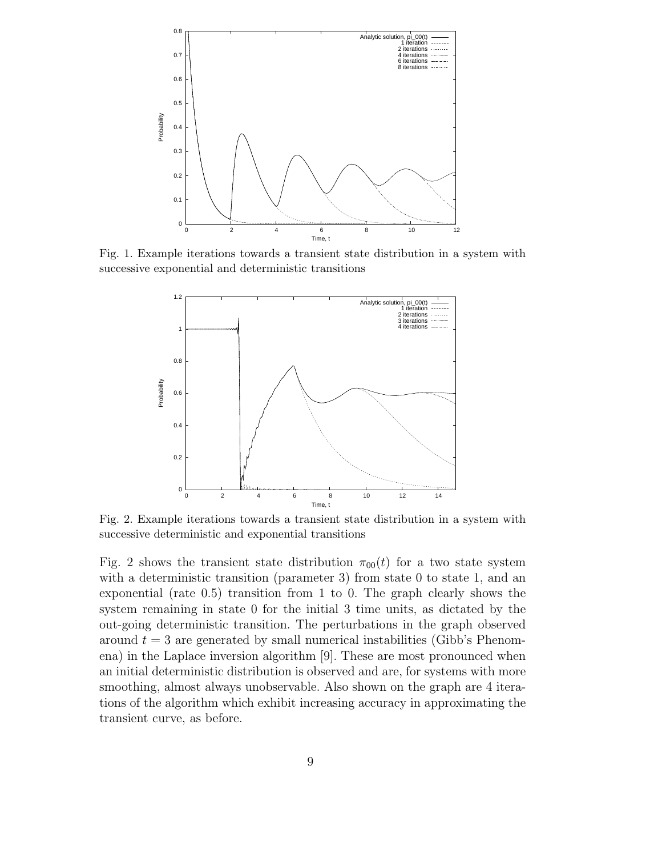

Fig. 1. Example iterations towards a transient state distribution in a system with successive exponential and deterministic transitions



Fig. 2. Example iterations towards a transient state distribution in a system with successive deterministic and exponential transitions

Fig. 2 shows the transient state distribution  $\pi_{00}(t)$  for a two state system with a deterministic transition (parameter 3) from state 0 to state 1, and an exponential (rate 0.5) transition from 1 to 0. The graph clearly shows the system remaining in state 0 for the initial 3 time units, as dictated by the out-going deterministic transition. The perturbations in the graph observed around  $t = 3$  are generated by small numerical instabilities (Gibb's Phenomena) in the Laplace inversion algorithm [9]. These are most pronounced when an initial deterministic distribution is observed and are, for systems with more smoothing, almost always unobservable. Also shown on the graph are 4 iterations of the algorithm which exhibit increasing accuracy in approximating the transient curve, as before.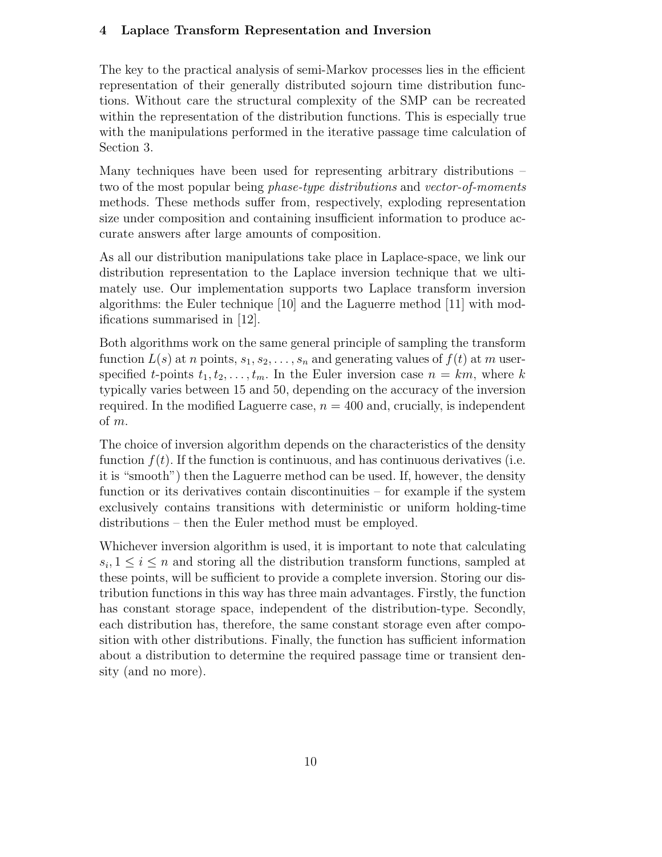# **4 Laplace Transform Representation and Inversion**

The key to the practical analysis of semi-Markov processes lies in the efficient representation of their generally distributed sojourn time distribution functions. Without care the structural complexity of the SMP can be recreated within the representation of the distribution functions. This is especially true with the manipulations performed in the iterative passage time calculation of Section 3.

Many techniques have been used for representing arbitrary distributions – two of the most popular being *phase-type distributions* and *vector-of-moments* methods. These methods suffer from, respectively, exploding representation size under composition and containing insufficient information to produce accurate answers after large amounts of composition.

As all our distribution manipulations take place in Laplace-space, we link our distribution representation to the Laplace inversion technique that we ultimately use. Our implementation supports two Laplace transform inversion algorithms: the Euler technique [10] and the Laguerre method [11] with modifications summarised in [12].

Both algorithms work on the same general principle of sampling the transform function  $L(s)$  at n points,  $s_1, s_2, \ldots, s_n$  and generating values of  $f(t)$  at m userspecified t-points  $t_1, t_2, \ldots, t_m$ . In the Euler inversion case  $n = km$ , where k typically varies between 15 and 50, depending on the accuracy of the inversion required. In the modified Laguerre case,  $n = 400$  and, crucially, is independent of m.

The choice of inversion algorithm depends on the characteristics of the density function  $f(t)$ . If the function is continuous, and has continuous derivatives (i.e. it is "smooth") then the Laguerre method can be used. If, however, the density function or its derivatives contain discontinuities – for example if the system exclusively contains transitions with deterministic or uniform holding-time distributions – then the Euler method must be employed.

Whichever inversion algorithm is used, it is important to note that calculating  $s_i, 1 \leq i \leq n$  and storing all the distribution transform functions, sampled at these points, will be sufficient to provide a complete inversion. Storing our distribution functions in this way has three main advantages. Firstly, the function has constant storage space, independent of the distribution-type. Secondly, each distribution has, therefore, the same constant storage even after composition with other distributions. Finally, the function has sufficient information about a distribution to determine the required passage time or transient density (and no more).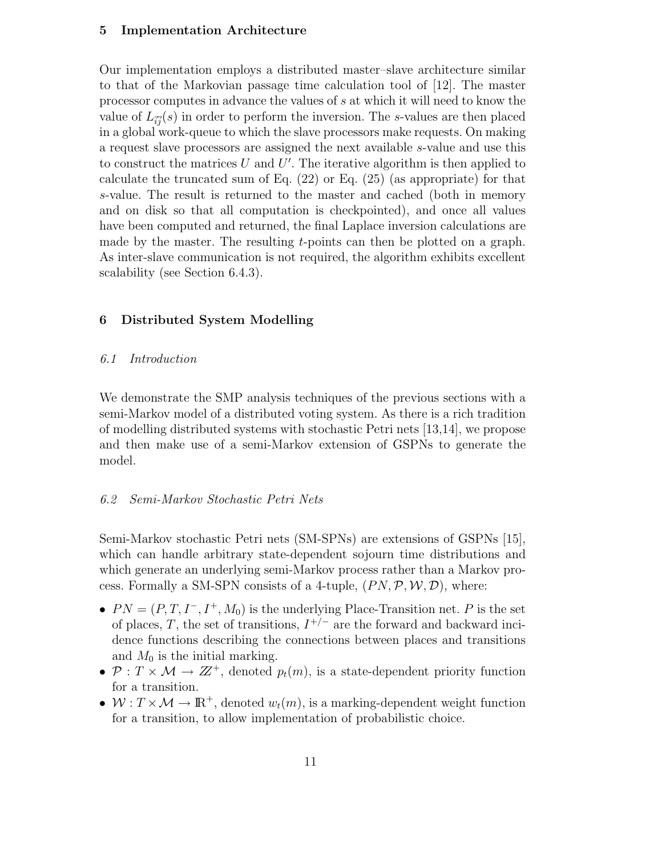### **5 Implementation Architecture**

Our implementation employs a distributed master–slave architecture similar to that of the Markovian passage time calculation tool of [12]. The master processor computes in advance the values of s at which it will need to know the value of  $L_{\vec{ij}}(s)$  in order to perform the inversion. The s-values are then placed in a global work-queue to which the slave processors make requests. On making a request slave processors are assigned the next available s-value and use this to construct the matrices U and U'. The iterative algorithm is then applied to calculate the truncated sum of Eq. (22) or Eq. (25) (as appropriate) for that s-value. The result is returned to the master and cached (both in memory and on disk so that all computation is checkpointed), and once all values have been computed and returned, the final Laplace inversion calculations are made by the master. The resulting  $t$ -points can then be plotted on a graph. As inter-slave communication is not required, the algorithm exhibits excellent scalability (see Section 6.4.3).

## **6 Distributed System Modelling**

## *6.1 Introduction*

We demonstrate the SMP analysis techniques of the previous sections with a semi-Markov model of a distributed voting system. As there is a rich tradition of modelling distributed systems with stochastic Petri nets [13,14], we propose and then make use of a semi-Markov extension of GSPNs to generate the model.

## *6.2 Semi-Markov Stochastic Petri Nets*

Semi-Markov stochastic Petri nets (SM-SPNs) are extensions of GSPNs [15], which can handle arbitrary state-dependent sojourn time distributions and which generate an underlying semi-Markov process rather than a Markov process. Formally a SM-SPN consists of a 4-tuple,  $(PN, \mathcal{P}, \mathcal{W}, \mathcal{D})$ , where:

- $PN = (P, T, I^-, I^+, M_0)$  is the underlying Place-Transition net. P is the set of places, T, the set of transitions,  $I^{+/-}$  are the forward and backward incidence functions describing the connections between places and transitions and  $M_0$  is the initial marking.
- $P: T \times \mathcal{M} \rightarrow \mathbb{Z}^+$ , denoted  $p_t(m)$ , is a state-dependent priority function for a transition.
- $W: T \times \mathcal{M} \to \mathbb{R}^+$ , denoted  $w_t(m)$ , is a marking-dependent weight function for a transition, to allow implementation of probabilistic choice.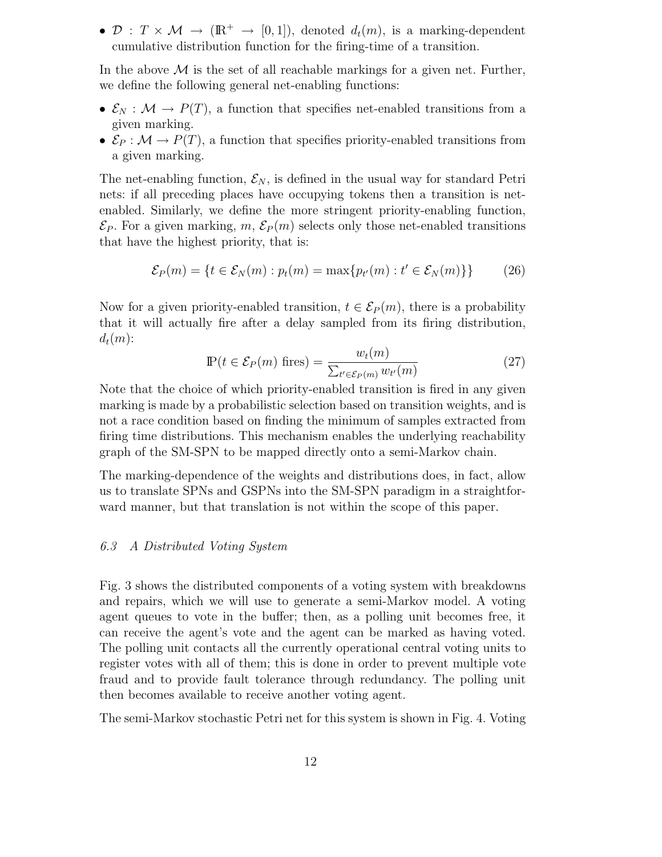•  $\mathcal{D}: T \times \mathcal{M} \rightarrow (\mathbb{R}^+ \rightarrow [0,1])$ , denoted  $d_t(m)$ , is a marking-dependent cumulative distribution function for the firing-time of a transition.

In the above  $\mathcal M$  is the set of all reachable markings for a given net. Further, we define the following general net-enabling functions:

- $\mathcal{E}_N : \mathcal{M} \to P(T)$ , a function that specifies net-enabled transitions from a given marking.
- $\mathcal{E}_P : \mathcal{M} \to P(T)$ , a function that specifies priority-enabled transitions from a given marking.

The net-enabling function,  $\mathcal{E}_N$ , is defined in the usual way for standard Petri nets: if all preceding places have occupying tokens then a transition is netenabled. Similarly, we define the more stringent priority-enabling function,  $\mathcal{E}_P$ . For a given marking, m,  $\mathcal{E}_P(m)$  selects only those net-enabled transitions that have the highest priority, that is:

$$
\mathcal{E}_P(m) = \{ t \in \mathcal{E}_N(m) : p_t(m) = \max\{p_{t'}(m) : t' \in \mathcal{E}_N(m) \} \} \tag{26}
$$

Now for a given priority-enabled transition,  $t \in \mathcal{E}_P(m)$ , there is a probability that it will actually fire after a delay sampled from its firing distribution,  $d_t(m)$ :

$$
\mathbb{P}(t \in \mathcal{E}_P(m) \text{ fires}) = \frac{w_t(m)}{\sum_{t' \in \mathcal{E}_P(m)} w_{t'}(m)} \tag{27}
$$

Note that the choice of which priority-enabled transition is fired in any given marking is made by a probabilistic selection based on transition weights, and is not a race condition based on finding the minimum of samples extracted from firing time distributions. This mechanism enables the underlying reachability graph of the SM-SPN to be mapped directly onto a semi-Markov chain.

The marking-dependence of the weights and distributions does, in fact, allow us to translate SPNs and GSPNs into the SM-SPN paradigm in a straightforward manner, but that translation is not within the scope of this paper.

## *6.3 A Distributed Voting System*

Fig. 3 shows the distributed components of a voting system with breakdowns and repairs, which we will use to generate a semi-Markov model. A voting agent queues to vote in the buffer; then, as a polling unit becomes free, it can receive the agent's vote and the agent can be marked as having voted. The polling unit contacts all the currently operational central voting units to register votes with all of them; this is done in order to prevent multiple vote fraud and to provide fault tolerance through redundancy. The polling unit then becomes available to receive another voting agent.

The semi-Markov stochastic Petri net for this system is shown in Fig. 4. Voting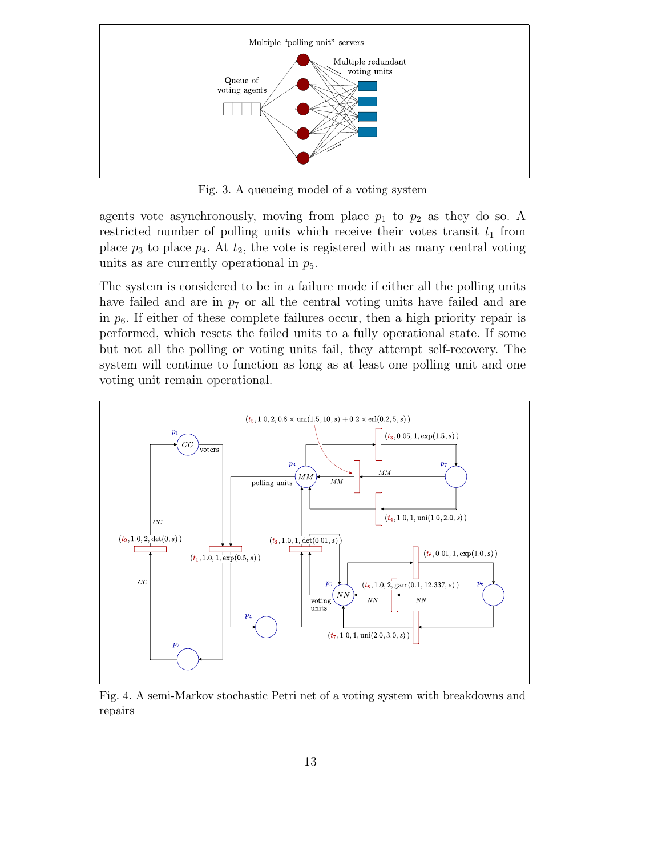

Fig. 3. A queueing model of a voting system

agents vote asynchronously, moving from place  $p_1$  to  $p_2$  as they do so. A restricted number of polling units which receive their votes transit  $t_1$  from place  $p_3$  to place  $p_4$ . At  $t_2$ , the vote is registered with as many central voting units as are currently operational in  $p_5$ .

The system is considered to be in a failure mode if either all the polling units have failed and are in  $p<sub>7</sub>$  or all the central voting units have failed and are in  $p_6$ . If either of these complete failures occur, then a high priority repair is performed, which resets the failed units to a fully operational state. If some but not all the polling or voting units fail, they attempt self-recovery. The system will continue to function as long as at least one polling unit and one voting unit remain operational.



Fig. 4. A semi-Markov stochastic Petri net of a voting system with breakdowns and repairs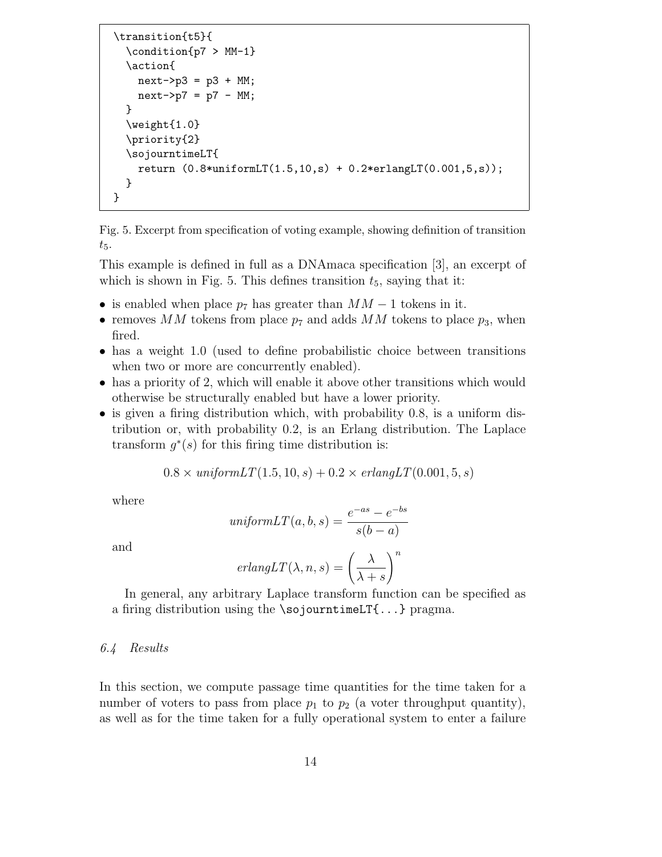```
\transition{t5}{
  \condition{p7 > MM-1}
  \action{
    next->p3 = p3 + MM;next->p7 = p7 - MM;}
  \weight{1.0}
  \priority{2}
  \sojourntimeLT{
    return (0.8*uniformLT(1.5,10,s) + 0.2*erlangLT(0.001,5,s);
  }
}
```
Fig. 5. Excerpt from specification of voting example, showing definition of transition  $t_{5}$ .

This example is defined in full as a DNAmaca specification [3], an excerpt of which is shown in Fig. 5. This defines transition  $t_5$ , saying that it:

- is enabled when place  $p_7$  has greater than  $MM-1$  tokens in it.
- removes MM tokens from place  $p_7$  and adds MM tokens to place  $p_3$ , when fired.
- has a weight 1.0 (used to define probabilistic choice between transitions when two or more are concurrently enabled).
- has a priority of 2, which will enable it above other transitions which would otherwise be structurally enabled but have a lower priority.
- is given a firing distribution which, with probability 0.8, is a uniform distribution or, with probability 0.2, is an Erlang distribution. The Laplace transform  $g^*(s)$  for this firing time distribution is:

 $0.8 \times \text{uniform}LT(1.5, 10, s) + 0.2 \times \text{erlang}LT(0.001, 5, s)$ 

where

$$
uniformLT(a, b, s) = \frac{e^{-as} - e^{-bs}}{s(b - a)}
$$

and

$$
erlangLT(\lambda, n, s) = \left(\frac{\lambda}{\lambda + s}\right)^n
$$

In general, any arbitrary Laplace transform function can be specified as a firing distribution using the \sojourntimeLT{...} pragma.

# *6.4 Results*

In this section, we compute passage time quantities for the time taken for a number of voters to pass from place  $p_1$  to  $p_2$  (a voter throughput quantity), as well as for the time taken for a fully operational system to enter a failure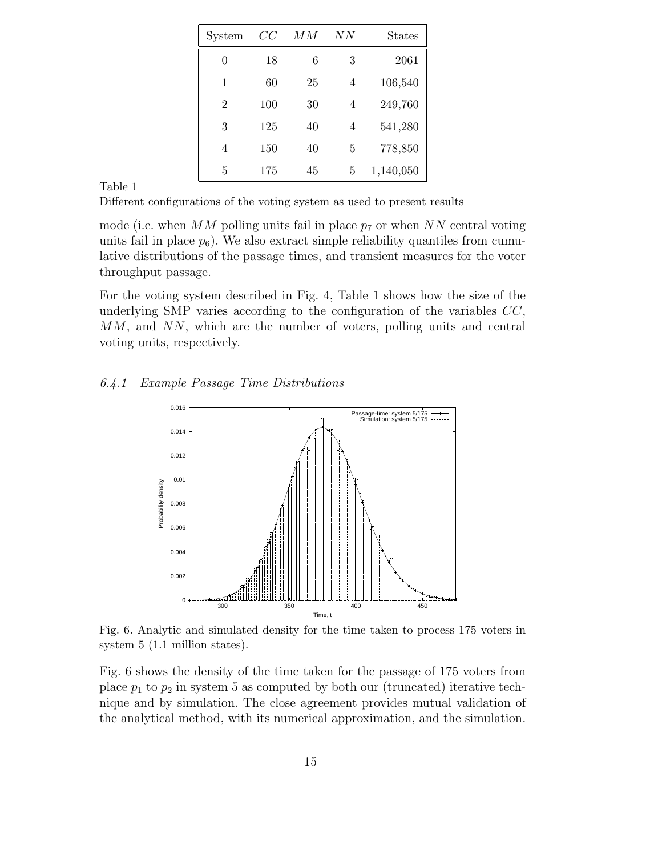| System         | CC  | ΜМ | NN | <b>States</b> |
|----------------|-----|----|----|---------------|
| 0              | 18  | 6  | 3  | 2061          |
| 1              | 60  | 25 | 4  | 106,540       |
| 2              | 100 | 30 | 4  | 249,760       |
| 3              | 125 | 40 | 4  | 541,280       |
| $\overline{4}$ | 150 | 40 | 5  | 778,850       |
| 5              | 175 | 45 | 5  | 1,140,050     |

Table 1

Different configurations of the voting system as used to present results

mode (i.e. when MM polling units fail in place  $p_7$  or when NN central voting units fail in place  $p_6$ ). We also extract simple reliability quantiles from cumulative distributions of the passage times, and transient measures for the voter throughput passage.

For the voting system described in Fig. 4, Table 1 shows how the size of the underlying SMP varies according to the configuration of the variables  $CC$ , MM, and NN, which are the number of voters, polling units and central voting units, respectively.

## *6.4.1 Example Passage Time Distributions*



Fig. 6. Analytic and simulated density for the time taken to process 175 voters in system 5 (1.1 million states).

Fig. 6 shows the density of the time taken for the passage of 175 voters from place  $p_1$  to  $p_2$  in system 5 as computed by both our (truncated) iterative technique and by simulation. The close agreement provides mutual validation of the analytical method, with its numerical approximation, and the simulation.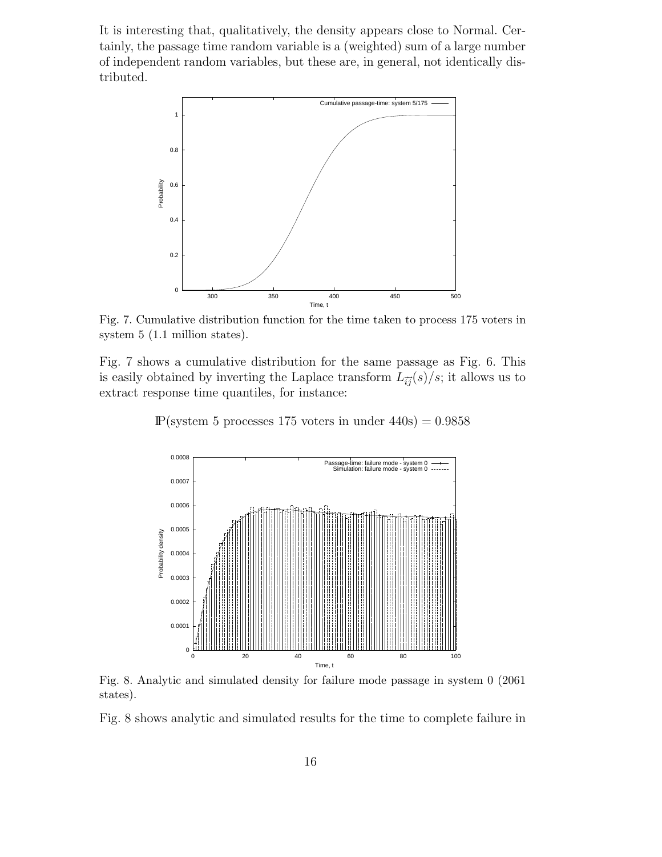It is interesting that, qualitatively, the density appears close to Normal. Certainly, the passage time random variable is a (weighted) sum of a large number of independent random variables, but these are, in general, not identically distributed.



Fig. 7. Cumulative distribution function for the time taken to process 175 voters in system 5 (1.1 million states).

Fig. 7 shows a cumulative distribution for the same passage as Fig. 6. This is easily obtained by inverting the Laplace transform  $L_{\vec{i}\vec{j}}(s)/s$ ; it allows us to extract response time quantiles, for instance:

 $P$ (system 5 processes 175 voters in under 440s) = 0.9858



Fig. 8. Analytic and simulated density for failure mode passage in system 0 (2061 states).

Fig. 8 shows analytic and simulated results for the time to complete failure in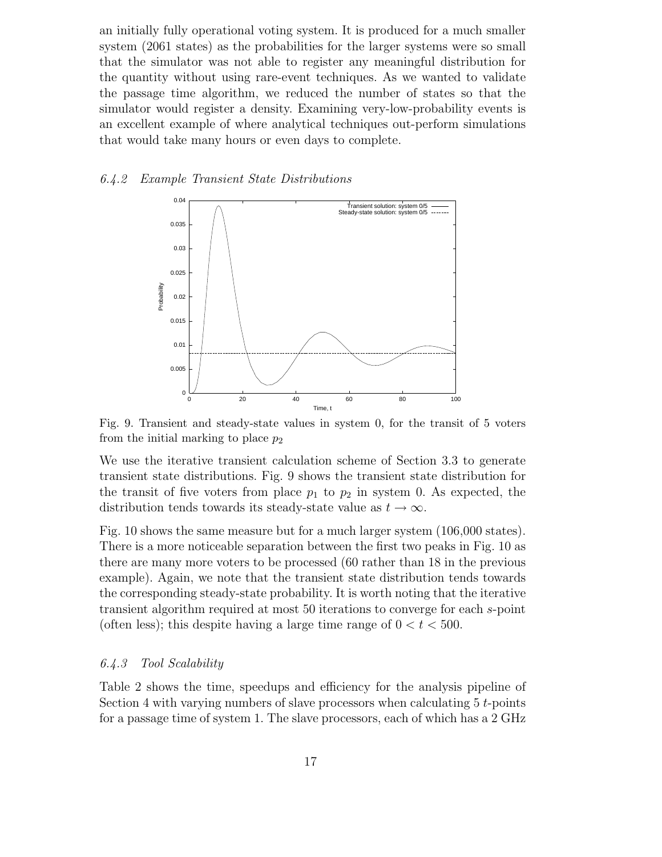an initially fully operational voting system. It is produced for a much smaller system (2061 states) as the probabilities for the larger systems were so small that the simulator was not able to register any meaningful distribution for the quantity without using rare-event techniques. As we wanted to validate the passage time algorithm, we reduced the number of states so that the simulator would register a density. Examining very-low-probability events is an excellent example of where analytical techniques out-perform simulations that would take many hours or even days to complete.

## *6.4.2 Example Transient State Distributions*



Fig. 9. Transient and steady-state values in system 0, for the transit of 5 voters from the initial marking to place  $p_2$ 

We use the iterative transient calculation scheme of Section 3.3 to generate transient state distributions. Fig. 9 shows the transient state distribution for the transit of five voters from place  $p_1$  to  $p_2$  in system 0. As expected, the distribution tends towards its steady-state value as  $t \to \infty$ .

Fig. 10 shows the same measure but for a much larger system (106,000 states). There is a more noticeable separation between the first two peaks in Fig. 10 as there are many more voters to be processed (60 rather than 18 in the previous example). Again, we note that the transient state distribution tends towards the corresponding steady-state probability. It is worth noting that the iterative transient algorithm required at most 50 iterations to converge for each s-point (often less); this despite having a large time range of  $0 < t < 500$ .

### *6.4.3 Tool Scalability*

Table 2 shows the time, speedups and efficiency for the analysis pipeline of Section 4 with varying numbers of slave processors when calculating  $5 t$ -points for a passage time of system 1. The slave processors, each of which has a 2 GHz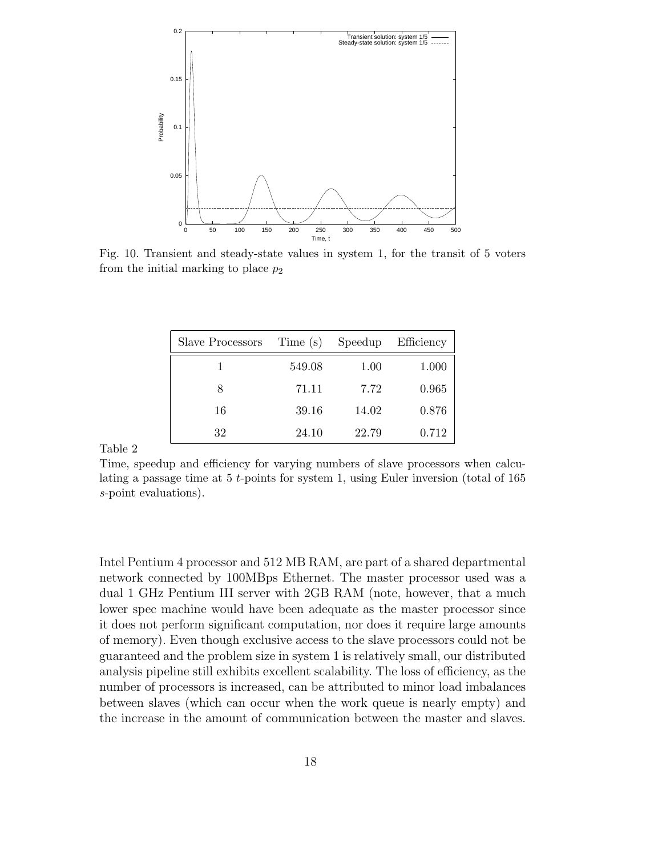

Fig. 10. Transient and steady-state values in system 1, for the transit of 5 voters from the initial marking to place  $p_2$ 

| Slave Processors | Time (s) | Speedup | Efficiency |
|------------------|----------|---------|------------|
|                  | 549.08   | 1.00    | 1.000      |
| 8                | 71.11    | 7.72    | 0.965      |
| 16               | 39.16    | 14.02   | 0.876      |
| 32               | 24.10    | 22.79   | 0.712      |

Table 2

Time, speedup and efficiency for varying numbers of slave processors when calculating a passage time at 5 *t*-points for system 1, using Euler inversion (total of 165 *s*-point evaluations).

Intel Pentium 4 processor and 512 MB RAM, are part of a shared departmental network connected by 100MBps Ethernet. The master processor used was a dual 1 GHz Pentium III server with 2GB RAM (note, however, that a much lower spec machine would have been adequate as the master processor since it does not perform significant computation, nor does it require large amounts of memory). Even though exclusive access to the slave processors could not be guaranteed and the problem size in system 1 is relatively small, our distributed analysis pipeline still exhibits excellent scalability. The loss of efficiency, as the number of processors is increased, can be attributed to minor load imbalances between slaves (which can occur when the work queue is nearly empty) and the increase in the amount of communication between the master and slaves.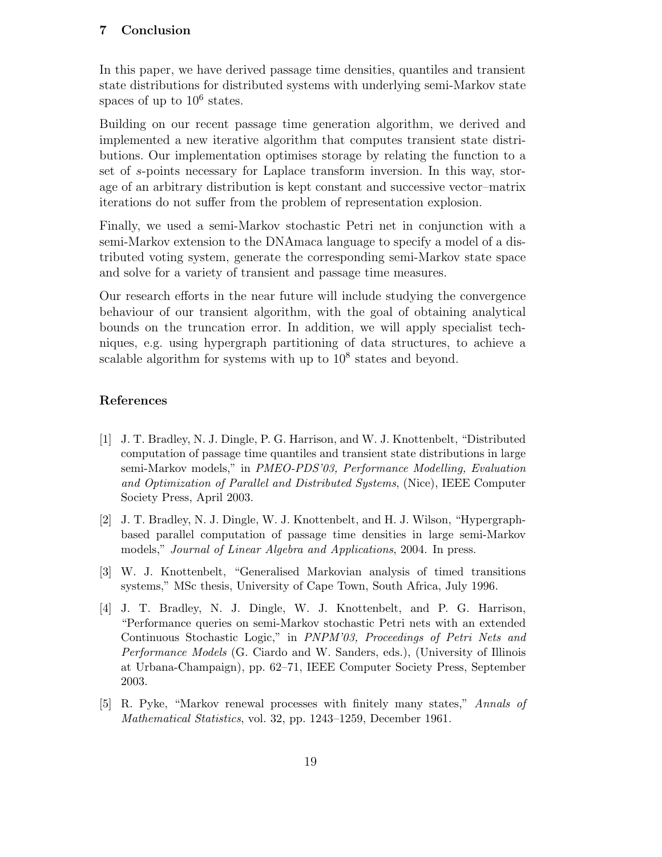# **7 Conclusion**

In this paper, we have derived passage time densities, quantiles and transient state distributions for distributed systems with underlying semi-Markov state spaces of up to  $10^6$  states.

Building on our recent passage time generation algorithm, we derived and implemented a new iterative algorithm that computes transient state distributions. Our implementation optimises storage by relating the function to a set of s-points necessary for Laplace transform inversion. In this way, storage of an arbitrary distribution is kept constant and successive vector–matrix iterations do not suffer from the problem of representation explosion.

Finally, we used a semi-Markov stochastic Petri net in conjunction with a semi-Markov extension to the DNAmaca language to specify a model of a distributed voting system, generate the corresponding semi-Markov state space and solve for a variety of transient and passage time measures.

Our research efforts in the near future will include studying the convergence behaviour of our transient algorithm, with the goal of obtaining analytical bounds on the truncation error. In addition, we will apply specialist techniques, e.g. using hypergraph partitioning of data structures, to achieve a scalable algorithm for systems with up to  $10^8$  states and beyond.

# **References**

- [1] J. T. Bradley, N. J. Dingle, P. G. Harrison, and W. J. Knottenbelt, "Distributed computation of passage time quantiles and transient state distributions in large semi-Markov models," in *PMEO-PDS'03, Performance Modelling, Evaluation and Optimization of Parallel and Distributed Systems*, (Nice), IEEE Computer Society Press, April 2003.
- [2] J. T. Bradley, N. J. Dingle, W. J. Knottenbelt, and H. J. Wilson, "Hypergraphbased parallel computation of passage time densities in large semi-Markov models," *Journal of Linear Algebra and Applications*, 2004. In press.
- [3] W. J. Knottenbelt, "Generalised Markovian analysis of timed transitions systems," MSc thesis, University of Cape Town, South Africa, July 1996.
- [4] J. T. Bradley, N. J. Dingle, W. J. Knottenbelt, and P. G. Harrison, "Performance queries on semi-Markov stochastic Petri nets with an extended Continuous Stochastic Logic," in *PNPM'03, Proceedings of Petri Nets and Performance Models* (G. Ciardo and W. Sanders, eds.), (University of Illinois at Urbana-Champaign), pp. 62–71, IEEE Computer Society Press, September 2003.
- [5] R. Pyke, "Markov renewal processes with finitely many states," *Annals of Mathematical Statistics*, vol. 32, pp. 1243–1259, December 1961.